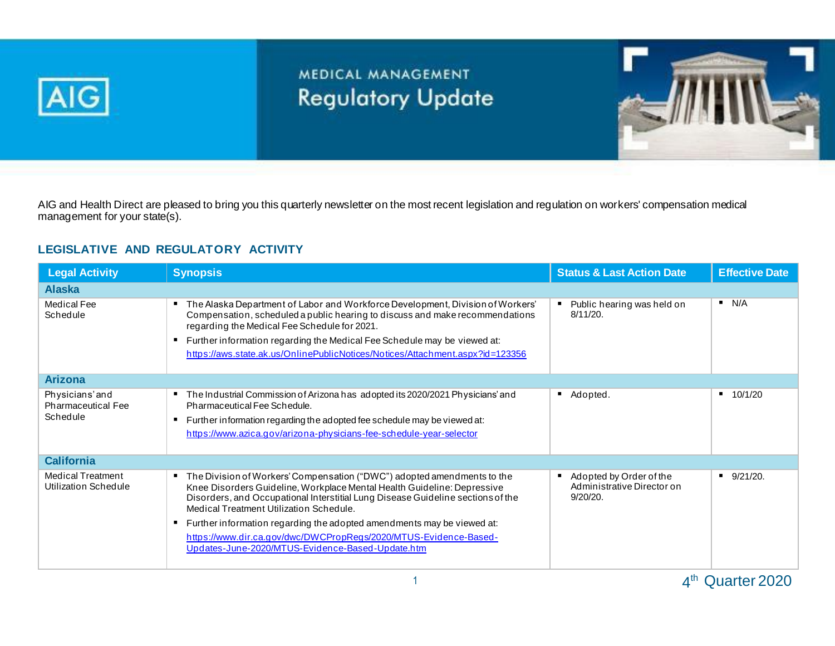

## MEDICAL MANAGEMENT **Regulatory Update**



AIG and Health Direct are pleased to bring you this quarterly newsletter on the most recent legislation and regulation on workers' compensation medical management for your state(s).

## **LEGISLATIVE AND REGULATORY ACTIVITY**

| <b>Legal Activity</b>                                   | <b>Synopsis</b>                                                                                                                                                                                                                                                                                                                                                                                                                                                                              | <b>Status &amp; Last Action Date</b>                                   | <b>Effective Date</b> |
|---------------------------------------------------------|----------------------------------------------------------------------------------------------------------------------------------------------------------------------------------------------------------------------------------------------------------------------------------------------------------------------------------------------------------------------------------------------------------------------------------------------------------------------------------------------|------------------------------------------------------------------------|-----------------------|
| <b>Alaska</b>                                           |                                                                                                                                                                                                                                                                                                                                                                                                                                                                                              |                                                                        |                       |
| <b>Medical Fee</b><br>Schedule                          | The Alaska Department of Labor and Workforce Development, Division of Workers'<br>٠<br>Compensation, scheduled a public hearing to discuss and make recommendations<br>regarding the Medical Fee Schedule for 2021.<br>Further information regarding the Medical Fee Schedule may be viewed at:<br>٠<br>https://aws.state.ak.us/OnlinePublicNotices/Notices/Attachment.aspx?id=123356                                                                                                        | Public hearing was held on<br>$8/11/20$ .                              | N/A                   |
| <b>Arizona</b>                                          |                                                                                                                                                                                                                                                                                                                                                                                                                                                                                              |                                                                        |                       |
| Physicians'and<br><b>Pharmaceutical Fee</b><br>Schedule | The Industrial Commission of Arizona has adopted its 2020/2021 Physicians' and<br>٠<br>Pharmaceutical Fee Schedule.<br>Further information regarding the adopted fee schedule may be viewed at:<br>п<br>https://www.azica.gov/arizona-physicians-fee-schedule-year-selector                                                                                                                                                                                                                  | Adopted.<br>٠                                                          | 10/1/20               |
| <b>California</b>                                       |                                                                                                                                                                                                                                                                                                                                                                                                                                                                                              |                                                                        |                       |
| <b>Medical Treatment</b><br>Utilization Schedule        | The Division of Workers' Compensation ("DWC") adopted amendments to the<br>٠<br>Knee Disorders Guideline, Workplace Mental Health Guideline: Depressive<br>Disorders, and Occupational Interstitial Lung Disease Guideline sections of the<br>Medical Treatment Utilization Schedule.<br>Further information regarding the adopted amendments may be viewed at:<br>п<br>https://www.dir.ca.gov/dwc/DWCPropRegs/2020/MTUS-Evidence-Based-<br>Updates-June-2020/MTUS-Evidence-Based-Update.htm | Adopted by Order of the<br>п<br>Administrative Director on<br>9/20/20. | $9/21/20$ .           |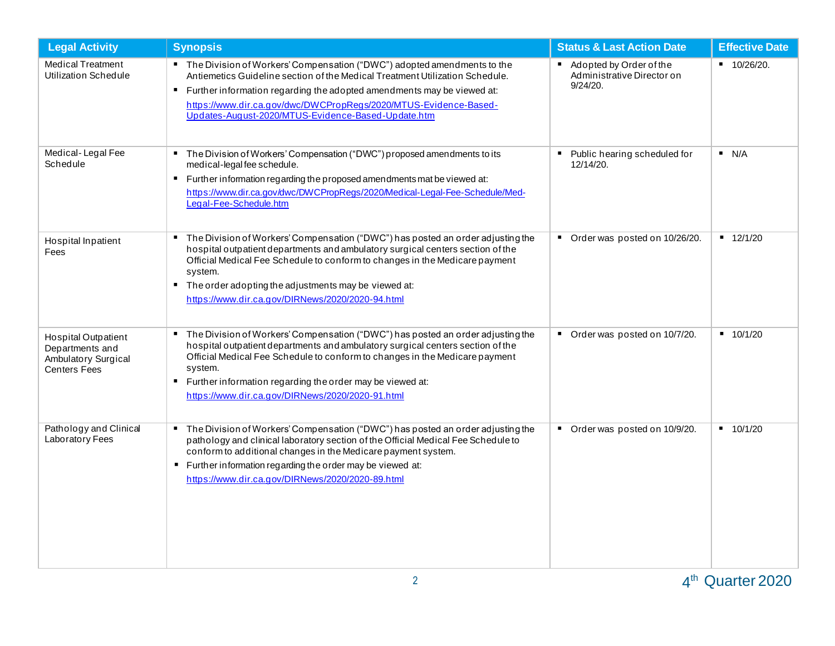| <b>Legal Activity</b>                                                                       | <b>Synopsis</b>                                                                                                                                                                                                                                                                                                                                                                    | <b>Status &amp; Last Action Date</b>                              | <b>Effective Date</b>       |
|---------------------------------------------------------------------------------------------|------------------------------------------------------------------------------------------------------------------------------------------------------------------------------------------------------------------------------------------------------------------------------------------------------------------------------------------------------------------------------------|-------------------------------------------------------------------|-----------------------------|
| <b>Medical Treatment</b><br><b>Utilization Schedule</b>                                     | " The Division of Workers' Compensation ("DWC") adopted amendments to the<br>Antiemetics Guideline section of the Medical Treatment Utilization Schedule.<br>" Further information regarding the adopted amendments may be viewed at:<br>https://www.dir.ca.gov/dwc/DWCPropRegs/2020/MTUS-Evidence-Based-<br>Updates-August-2020/MTUS-Evidence-Based-Update.htm                    | Adopted by Order of the<br>Administrative Director on<br>9/24/20. | $10/26/20$ .                |
| Medical-Legal Fee<br>Schedule                                                               | " The Division of Workers' Compensation ("DWC") proposed amendments to its<br>medical-legal fee schedule.<br>" Further information regarding the proposed amendments mat be viewed at:<br>https://www.dir.ca.gov/dwc/DWCPropRegs/2020/Medical-Legal-Fee-Schedule/Med-<br>Legal-Fee-Schedule.htm                                                                                    | Public hearing scheduled for<br>12/14/20.                         | N/A                         |
| Hospital Inpatient<br>Fees                                                                  | " The Division of Workers' Compensation ("DWC") has posted an order adjusting the<br>hospital outpatient departments and ambulatory surgical centers section of the<br>Official Medical Fee Schedule to conform to changes in the Medicare payment<br>system.<br>The order adopting the adjustments may be viewed at:<br>л.<br>https://www.dir.ca.gov/DIRNews/2020/2020-94.html    | Order was posted on 10/26/20.<br>$\blacksquare$                   | $-12/1/20$                  |
| <b>Hospital Outpatient</b><br>Departments and<br>Ambulatory Surgical<br><b>Centers Fees</b> | The Division of Workers' Compensation ("DWC") has posted an order adjusting the<br>hospital outpatient departments and ambulatory surgical centers section of the<br>Official Medical Fee Schedule to conform to changes in the Medicare payment<br>system.<br>Further information regarding the order may be viewed at:<br>л.<br>https://www.dir.ca.gov/DIRNews/2020/2020-91.html | Order was posted on 10/7/20.<br>п.                                | $-10/1/20$                  |
| Pathology and Clinical<br>Laboratory Fees                                                   | The Division of Workers' Compensation ("DWC") has posted an order adjusting the<br>$\blacksquare$<br>pathology and clinical laboratory section of the Official Medical Fee Schedule to<br>conform to additional changes in the Medicare payment system.<br>" Further information regarding the order may be viewed at:<br>https://www.dir.ca.gov/DIRNews/2020/2020-89.html         | Order was posted on 10/9/20.<br>$\blacksquare$                    | 10/1/20<br>$\blacksquare$ . |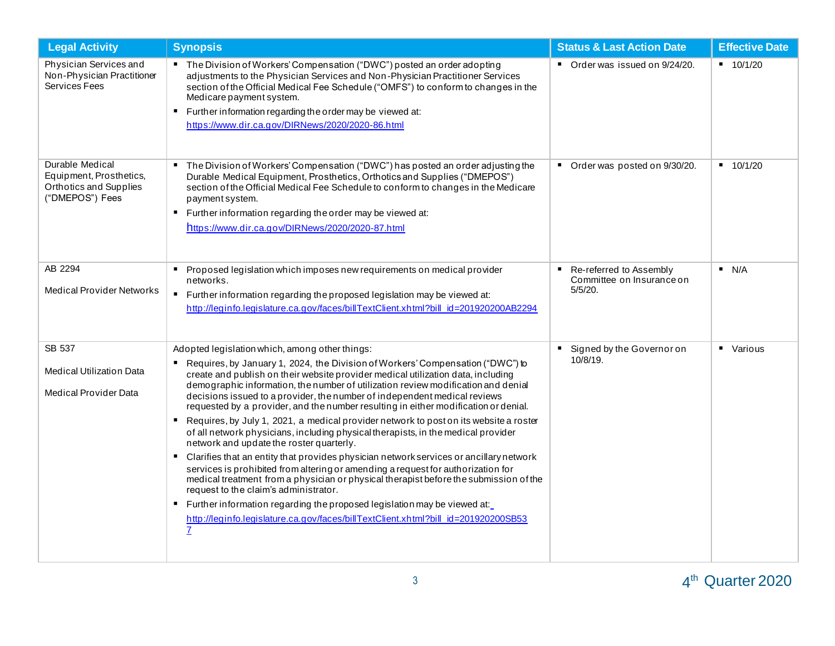| <b>Legal Activity</b>                                                                   | <b>Synopsis</b>                                                                                                                                                                                                                                                                                                                                                                                                                                                                                                                                                                                                                                                                                                                                                                                                                                                                                                                                                                                                                                                                                                                                                                                                                       | <b>Status &amp; Last Action Date</b>                                  | <b>Effective Date</b> |
|-----------------------------------------------------------------------------------------|---------------------------------------------------------------------------------------------------------------------------------------------------------------------------------------------------------------------------------------------------------------------------------------------------------------------------------------------------------------------------------------------------------------------------------------------------------------------------------------------------------------------------------------------------------------------------------------------------------------------------------------------------------------------------------------------------------------------------------------------------------------------------------------------------------------------------------------------------------------------------------------------------------------------------------------------------------------------------------------------------------------------------------------------------------------------------------------------------------------------------------------------------------------------------------------------------------------------------------------|-----------------------------------------------------------------------|-----------------------|
| Physician Services and<br>Non-Physician Practitioner<br>Services Fees                   | " The Division of Workers' Compensation ("DWC") posted an order adopting<br>adjustments to the Physician Services and Non-Physician Practitioner Services<br>section of the Official Medical Fee Schedule ("OMFS") to conform to changes in the<br>Medicare payment system.<br>■ Further information regarding the order may be viewed at:<br>https://www.dir.ca.gov/DIRNews/2020/2020-86.html                                                                                                                                                                                                                                                                                                                                                                                                                                                                                                                                                                                                                                                                                                                                                                                                                                        | Order was issued on 9/24/20.                                          | $-10/1/20$            |
| Durable Medical<br>Equipment, Prosthetics,<br>Orthotics and Supplies<br>("DMEPOS") Fees | The Division of Workers' Compensation ("DWC") has posted an order adjusting the<br>п.<br>Durable Medical Equipment, Prosthetics, Orthotics and Supplies ("DMEPOS")<br>section of the Official Medical Fee Schedule to conform to changes in the Medicare<br>payment system.<br>Further information regarding the order may be viewed at:<br>п.<br>https://www.dir.ca.gov/DIRNews/2020/2020-87.html                                                                                                                                                                                                                                                                                                                                                                                                                                                                                                                                                                                                                                                                                                                                                                                                                                    | Order was posted on 9/30/20.<br>п.                                    | $-10/1/20$            |
| AB 2294<br><b>Medical Provider Networks</b>                                             | Proposed legislation which imposes new requirements on medical provider<br>$\blacksquare$<br>networks.<br>$\blacksquare$ .<br>Further information regarding the proposed legislation may be viewed at:<br>http://leginfo.legislature.ca.gov/faces/billTextClient.xhtml?bill_id=201920200AB2294                                                                                                                                                                                                                                                                                                                                                                                                                                                                                                                                                                                                                                                                                                                                                                                                                                                                                                                                        | Re-referred to Assembly<br>п.<br>Committee on Insurance on<br>5/5/20. | N/A                   |
| SB 537<br><b>Medical Utilization Data</b><br>Medical Provider Data                      | Adopted legislation which, among other things:<br>Requires, by January 1, 2024, the Division of Workers' Compensation ("DWC") to<br>create and publish on their website provider medical utilization data, including<br>demographic information, the number of utilization review modification and denial<br>decisions issued to a provider, the number of independent medical reviews<br>requested by a provider, and the number resulting in either modification or denial.<br>Requires, by July 1, 2021, a medical provider network to post on its website a roster<br>$\blacksquare$<br>of all network physicians, including physical therapists, in the medical provider<br>network and update the roster quarterly.<br>• Clarifies that an entity that provides physician network services or ancillary network<br>services is prohibited from altering or amending a request for authorization for<br>medical treatment from a physician or physical therapist before the submission of the<br>request to the claim's administrator.<br>Further information regarding the proposed legislation may be viewed at:<br>п.<br>http://leginfo.legislature.ca.gov/faces/billTextClient.xhtml?bill_id=201920200SB53<br>$\overline{7}$ | Signed by the Governor on<br>10/8/19.                                 | • Various             |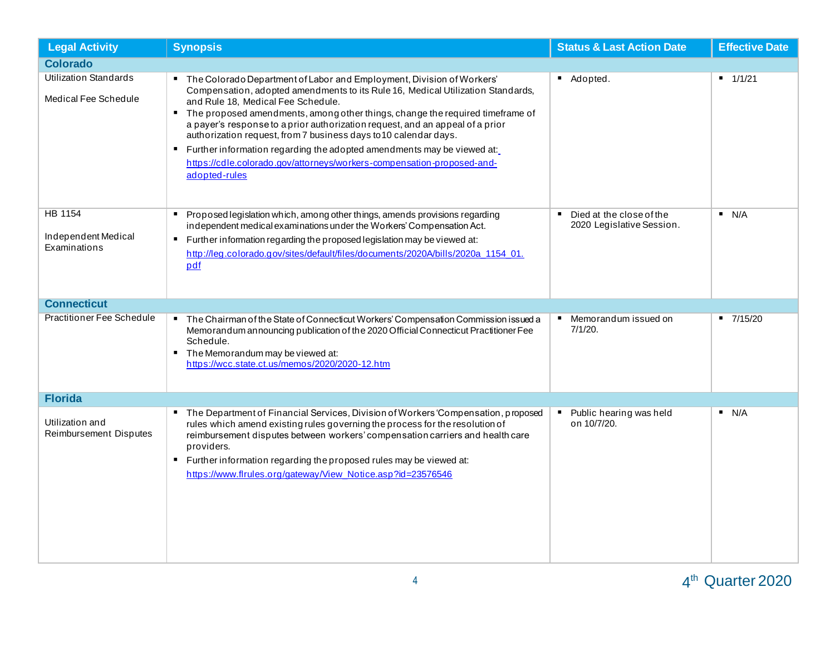| <b>Legal Activity</b>                                | <b>Synopsis</b>                                                                                                                                                                                                                                                                                                                                                                                                                                                                                                                                                                                                               | <b>Status &amp; Last Action Date</b>                                    | <b>Effective Date</b> |
|------------------------------------------------------|-------------------------------------------------------------------------------------------------------------------------------------------------------------------------------------------------------------------------------------------------------------------------------------------------------------------------------------------------------------------------------------------------------------------------------------------------------------------------------------------------------------------------------------------------------------------------------------------------------------------------------|-------------------------------------------------------------------------|-----------------------|
| <b>Colorado</b>                                      |                                                                                                                                                                                                                                                                                                                                                                                                                                                                                                                                                                                                                               |                                                                         |                       |
| <b>Utilization Standards</b><br>Medical Fee Schedule | The Colorado Department of Labor and Employment, Division of Workers'<br>Compensation, adopted amendments to its Rule 16, Medical Utilization Standards,<br>and Rule 18, Medical Fee Schedule.<br>" The proposed amendments, among other things, change the required timeframe of<br>a payer's response to a prior authorization request, and an appeal of a prior<br>authorization request, from 7 business days to 10 calendar days.<br>Further information regarding the adopted amendments may be viewed at:<br>$\blacksquare$<br>https://cdle.colorado.gov/attorneys/workers-compensation-proposed-and-<br>adopted-rules | Adopted.                                                                | $-1/1/21$             |
| HB 1154<br>Independent Medical<br>Examinations       | Proposed legislation which, among other things, amends provisions regarding<br>п.<br>independent medical examinations under the Workers' Compensation Act.<br>Further information regarding the proposed legislation may be viewed at:<br>٠.<br>http://leg.colorado.gov/sites/default/files/documents/2020A/bills/2020a_1154_01.<br>pdf                                                                                                                                                                                                                                                                                       | Died at the close of the<br>$\blacksquare$<br>2020 Legislative Session. | N/A                   |
| <b>Connecticut</b>                                   |                                                                                                                                                                                                                                                                                                                                                                                                                                                                                                                                                                                                                               |                                                                         |                       |
| <b>Practitioner Fee Schedule</b>                     | " The Chairman of the State of Connecticut Workers' Compensation Commission issued a<br>Memorandum announcing publication of the 2020 Official Connecticut Practitioner Fee<br>Schedule.<br>The Memorandum may be viewed at:<br>٠.<br>https://wcc.state.ct.us/memos/2020/2020-12.htm                                                                                                                                                                                                                                                                                                                                          | Memorandum issued on<br>7/1/20.                                         | $-7/15/20$            |
| <b>Florida</b>                                       |                                                                                                                                                                                                                                                                                                                                                                                                                                                                                                                                                                                                                               |                                                                         |                       |
| Utilization and<br>Reimbursement Disputes            | The Department of Financial Services, Division of Workers 'Compensation, proposed<br>π.<br>rules which amend existing rules governing the process for the resolution of<br>reimbursement disputes between workers' compensation carriers and health care<br>providers.<br>" Further information regarding the proposed rules may be viewed at:<br>https://www.flrules.org/gateway/View_Notice.asp?id=23576546                                                                                                                                                                                                                 | Public hearing was held<br>on 10/7/20.                                  | N/A                   |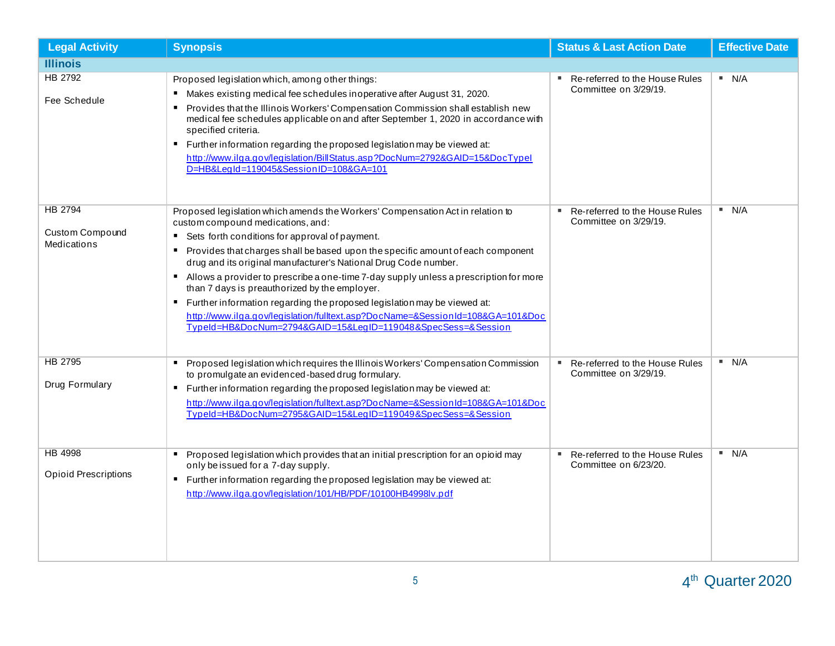| <b>Legal Activity</b>                                   | <b>Synopsis</b>                                                                                                                                                                                                                                                                                                                                                                                                                                                                                                                                                                                                                                                                                                         | <b>Status &amp; Last Action Date</b>                          | <b>Effective Date</b> |
|---------------------------------------------------------|-------------------------------------------------------------------------------------------------------------------------------------------------------------------------------------------------------------------------------------------------------------------------------------------------------------------------------------------------------------------------------------------------------------------------------------------------------------------------------------------------------------------------------------------------------------------------------------------------------------------------------------------------------------------------------------------------------------------------|---------------------------------------------------------------|-----------------------|
| <b>Illinois</b>                                         |                                                                                                                                                                                                                                                                                                                                                                                                                                                                                                                                                                                                                                                                                                                         |                                                               |                       |
| <b>HB 2792</b><br>Fee Schedule                          | Proposed legislation which, among other things:<br>Makes existing medical fee schedules inoperative after August 31, 2020.<br>$\blacksquare$<br>Provides that the Illinois Workers' Compensation Commission shall establish new<br>$\blacksquare$<br>medical fee schedules applicable on and after September 1, 2020 in accordance with<br>specified criteria.<br>" Further information regarding the proposed legislation may be viewed at:<br>http://www.ilga.gov/legislation/BillStatus.asp?DocNum=2792&GAID=15&DocTypel<br>D=HB&LegId=119045&SessionID=108&GA=101                                                                                                                                                   | Re-referred to the House Rules<br>Committee on 3/29/19.       | N/A                   |
| <b>HB 2794</b><br>Custom Compound<br><b>Medications</b> | Proposed legislation which amends the Workers' Compensation Act in relation to<br>custom compound medications, and:<br>■ Sets forth conditions for approval of payment.<br>Provides that charges shall be based upon the specific amount of each component<br>$\blacksquare$<br>drug and its original manufacturer's National Drug Code number.<br>Allows a provider to prescribe a one-time 7-day supply unless a prescription for more<br>than 7 days is preauthorized by the employer.<br>Further information regarding the proposed legislation may be viewed at:<br>http://www.ilga.gov/legislation/fulltext.asp?DocName=&SessionId=108&GA=101&Doc<br>TypeId=HB&DocNum=2794&GAID=15&LegID=119048&SpecSess=&Session | Re-referred to the House Rules<br>Committee on 3/29/19.       | N/A                   |
| <b>HB 2795</b><br>Drug Formulary                        | Proposed legislation which requires the Illinois Workers' Compensation Commission<br>$\blacksquare$<br>to promulgate an evidenced-based drug formulary.<br>" Further information regarding the proposed legislation may be viewed at:<br>http://www.ilga.gov/legislation/fulltext.asp?DocName=&SessionId=108&GA=101&Doc<br>TypeId=HB&DocNum=2795&GAID=15&LegID=119049&SpecSess=&Session                                                                                                                                                                                                                                                                                                                                 | Re-referred to the House Rules<br>л.<br>Committee on 3/29/19. | N/A                   |
| <b>HB 4998</b><br><b>Opioid Prescriptions</b>           | Proposed legislation which provides that an initial prescription for an opioid may<br>only be issued for a 7-day supply.<br>" Further information regarding the proposed legislation may be viewed at:<br>http://www.ilga.gov/legislation/101/HB/PDF/10100HB4998lv.pdf                                                                                                                                                                                                                                                                                                                                                                                                                                                  | Re-referred to the House Rules<br>л.<br>Committee on 6/23/20. | N/A                   |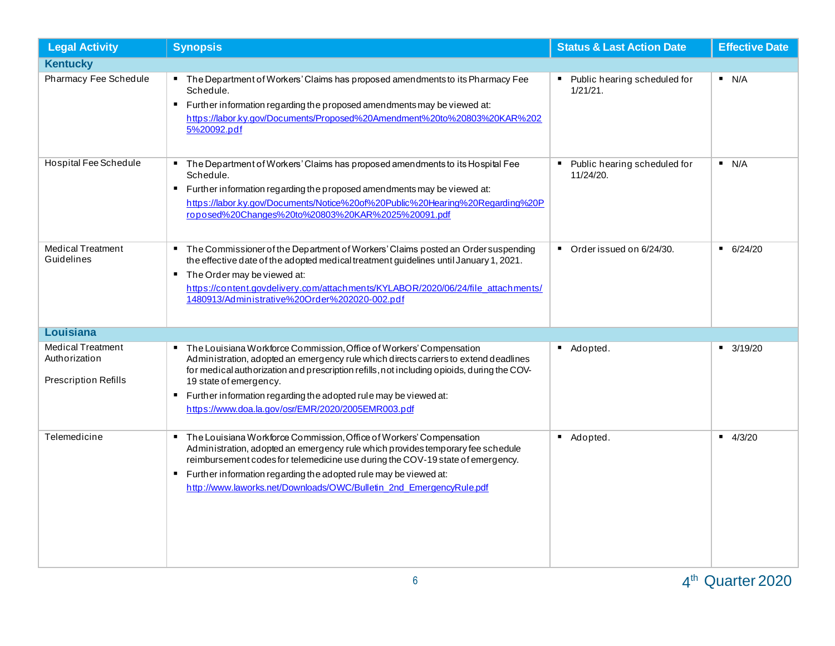| <b>Legal Activity</b>                                                    | <b>Synopsis</b>                                                                                                                                                                                                                                                                                                                                                                                                     | <b>Status &amp; Last Action Date</b>            | <b>Effective Date</b> |
|--------------------------------------------------------------------------|---------------------------------------------------------------------------------------------------------------------------------------------------------------------------------------------------------------------------------------------------------------------------------------------------------------------------------------------------------------------------------------------------------------------|-------------------------------------------------|-----------------------|
| <b>Kentucky</b>                                                          |                                                                                                                                                                                                                                                                                                                                                                                                                     |                                                 |                       |
| Pharmacy Fee Schedule                                                    | The Department of Workers' Claims has proposed amendments to its Pharmacy Fee<br>Schedule.<br>" Further information regarding the proposed amendments may be viewed at:<br>https://labor.ky.gov/Documents/Proposed%20Amendment%20to%20803%20KAR%202<br>5%20092.pdf                                                                                                                                                  | Public hearing scheduled for<br>$1/21/21$ .     | N/A                   |
| Hospital Fee Schedule                                                    | The Department of Workers' Claims has proposed amendments to its Hospital Fee<br>Schedule.<br>" Further information regarding the proposed amendments may be viewed at:<br>https://labor.ky.gov/Documents/Notice%20of%20Public%20Hearing%20Regarding%20P<br>roposed%20Changes%20to%20803%20KAR%2025%20091.pdf                                                                                                       | Public hearing scheduled for<br>п.<br>11/24/20. | N/A                   |
| <b>Medical Treatment</b><br>Guidelines                                   | The Commissioner of the Department of Workers' Claims posted an Order suspending<br>the effective date of the adopted medical treatment guidelines until January 1, 2021.<br>The Order may be viewed at:<br>п.<br>https://content.govdelivery.com/attachments/KYLABOR/2020/06/24/file_attachments/<br>1480913/Administrative%20Order%202020-002.pdf                                                                 | Order issued on 6/24/30.<br>$\blacksquare$      | $-6/24/20$            |
| <b>Louisiana</b>                                                         |                                                                                                                                                                                                                                                                                                                                                                                                                     |                                                 |                       |
| <b>Medical Treatment</b><br>Authorization<br><b>Prescription Refills</b> | The Louisiana Workforce Commission, Office of Workers' Compensation<br>Administration, adopted an emergency rule which directs carriers to extend deadlines<br>for medical authorization and prescription refills, not including opioids, during the COV-<br>19 state of emergency.<br>Further information regarding the adopted rule may be viewed at:<br>л.<br>https://www.doa.la.gov/osr/EMR/2020/2005EMR003.pdf | Adopted.                                        | $-3/19/20$            |
| Telemedicine                                                             | The Louisiana Workforce Commission, Office of Workers' Compensation<br>$\blacksquare$<br>Administration, adopted an emergency rule which provides temporary fee schedule<br>reimbursement codes for telemedicine use during the COV-19 state of emergency.<br>" Further information regarding the adopted rule may be viewed at:<br>http://www.laworks.net/Downloads/OWC/Bulletin 2nd EmergencyRule.pdf             | Adopted.                                        | $-4/3/20$             |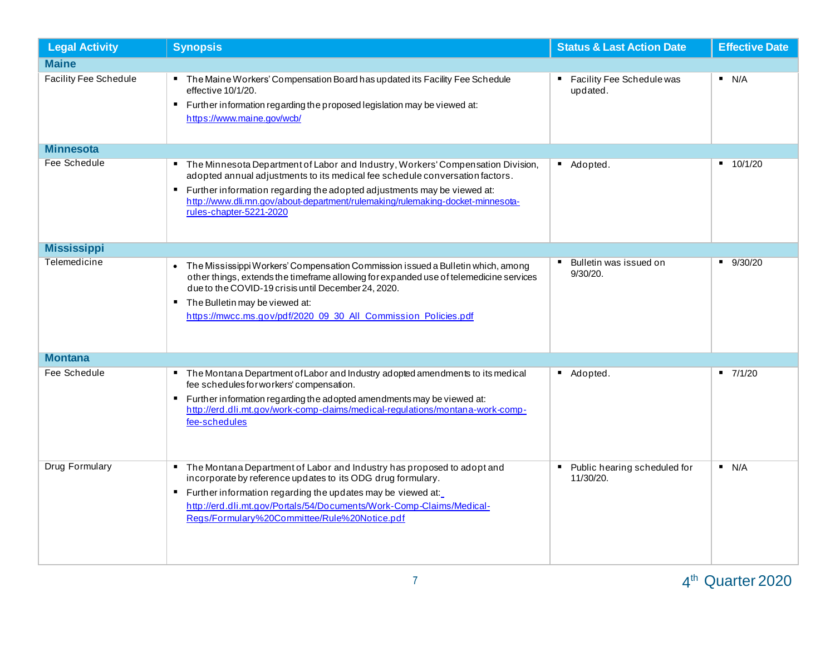| <b>Legal Activity</b> | <b>Synopsis</b>                                                                                                                                                                                                                                                                                                                                         | <b>Status &amp; Last Action Date</b>            | <b>Effective Date</b> |
|-----------------------|---------------------------------------------------------------------------------------------------------------------------------------------------------------------------------------------------------------------------------------------------------------------------------------------------------------------------------------------------------|-------------------------------------------------|-----------------------|
| <b>Maine</b>          |                                                                                                                                                                                                                                                                                                                                                         |                                                 |                       |
| Facility Fee Schedule | The Maine Workers' Compensation Board has updated its Facility Fee Schedule<br>effective 10/1/20.<br>" Further information regarding the proposed legislation may be viewed at:<br>https://www.maine.gov/wcb/                                                                                                                                           | Facility Fee Schedule was<br>updated.           | N/A                   |
| <b>Minnesota</b>      |                                                                                                                                                                                                                                                                                                                                                         |                                                 |                       |
| Fee Schedule          | The Minnesota Department of Labor and Industry, Workers' Compensation Division,<br>adopted annual adjustments to its medical fee schedule conversation factors.<br>Further information regarding the adopted adjustments may be viewed at:<br>http://www.dli.mn.gov/about-department/rulemaking/rulemaking-docket-minnesota-<br>rules-chapter-5221-2020 | Adopted.                                        | $-10/1/20$            |
| <b>Mississippi</b>    |                                                                                                                                                                                                                                                                                                                                                         |                                                 |                       |
| Telemedicine          | • The Mississippi Workers' Compensation Commission issued a Bulletin which, among<br>other things, extends the timeframe allowing for expanded use of telemedicine services<br>due to the COVID-19 crisis until December 24, 2020.<br>■ The Bulletin may be viewed at:<br>https://mwcc.ms.gov/pdf/2020_09_30_All_Commission_Policies.pdf                | Bulletin was issued on<br>9/30/20.              | 9/30/20               |
| <b>Montana</b>        |                                                                                                                                                                                                                                                                                                                                                         |                                                 |                       |
| Fee Schedule          | The Montana Department of Labor and Industry adopted amendments to its medical<br>fee schedules for workers' compensation.<br>■ Further information regarding the adopted amendments may be viewed at:<br>http://erd.dli.mt.gov/work-comp-claims/medical-regulations/montana-work-comp-<br>fee-schedules                                                | Adopted.                                        | $-7/1/20$             |
| Drug Formulary        | The Montana Department of Labor and Industry has proposed to adopt and<br>incorporate by reference updates to its ODG drug formulary.<br>" Further information regarding the updates may be viewed at:<br>http://erd.dli.mt.gov/Portals/54/Documents/Work-Comp-Claims/Medical-<br>Regs/Formulary%20Committee/Rule%20Notice.pdf                          | Public hearing scheduled for<br>п.<br>11/30/20. | N/A                   |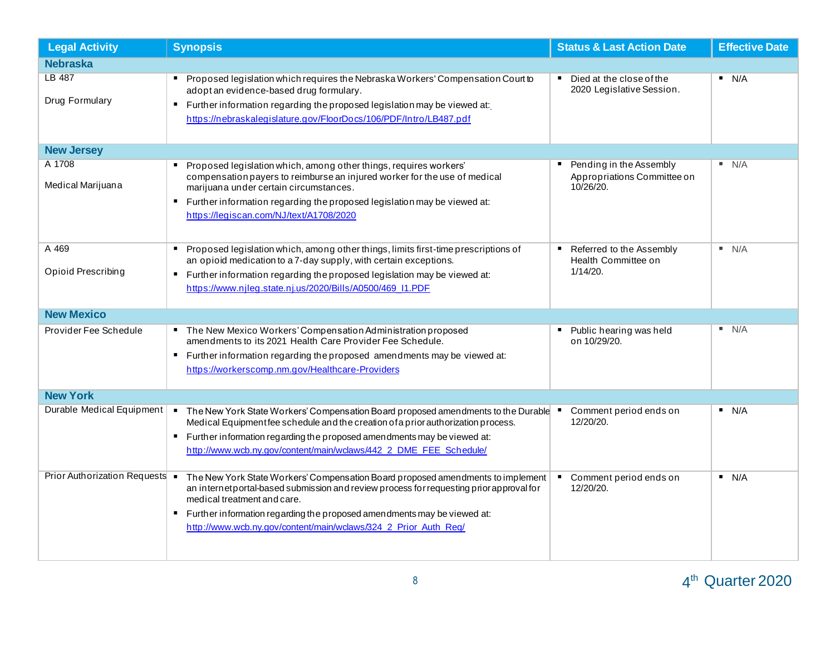| <b>Legal Activity</b>           | <b>Synopsis</b>                                                                                                                                                                                                                                                                                                                                           | <b>Status &amp; Last Action Date</b>                                          | <b>Effective Date</b> |
|---------------------------------|-----------------------------------------------------------------------------------------------------------------------------------------------------------------------------------------------------------------------------------------------------------------------------------------------------------------------------------------------------------|-------------------------------------------------------------------------------|-----------------------|
| <b>Nebraska</b>                 |                                                                                                                                                                                                                                                                                                                                                           |                                                                               |                       |
| <b>LB 487</b><br>Drug Formulary | Proposed legislation which requires the Nebraska Workers' Compensation Court to<br>adopt an evidence-based drug formulary.<br>Further information regarding the proposed legislation may be viewed at:<br>л.<br>https://nebraskalegislature.gov/FloorDocs/106/PDF/Intro/LB487.pdf                                                                         | Died at the close of the<br>2020 Legislative Session.                         | N/A                   |
| <b>New Jersey</b>               |                                                                                                                                                                                                                                                                                                                                                           |                                                                               |                       |
| A 1708<br>Medical Marijuana     | Proposed legislation which, among other things, requires workers'<br>compensation payers to reimburse an injured worker for the use of medical<br>marijuana under certain circumstances.<br>Further information regarding the proposed legislation may be viewed at:<br>https://legiscan.com/NJ/text/A1708/2020                                           | Pending in the Assembly<br>Appropriations Committee on<br>10/26/20.           | N/A                   |
| A 469<br>Opioid Prescribing     | Proposed legislation which, among other things, limits first-time prescriptions of<br>л.<br>an opioid medication to a 7-day supply, with certain exceptions.<br>Further information regarding the proposed legislation may be viewed at:<br>л.<br>https://www.njleg.state.nj.us/2020/Bills/A0500/469_11.PDF                                               | Referred to the Assembly<br>$\blacksquare$<br>Health Committee on<br>1/14/20. | N/A                   |
| <b>New Mexico</b>               |                                                                                                                                                                                                                                                                                                                                                           |                                                                               |                       |
| Provider Fee Schedule           | The New Mexico Workers' Compensation Administration proposed<br>amendments to its 2021 Health Care Provider Fee Schedule.<br>" Further information regarding the proposed amendments may be viewed at:<br>https://workerscomp.nm.gov/Healthcare-Providers                                                                                                 | Public hearing was held<br>on 10/29/20.                                       | N/A                   |
| <b>New York</b>                 |                                                                                                                                                                                                                                                                                                                                                           |                                                                               |                       |
| Durable Medical Equipment       | The New York State Workers' Compensation Board proposed amendments to the Durable ■<br>$\blacksquare$<br>Medical Equipmentfee schedule and the creation of a prior authorization process.<br>" Further information regarding the proposed amendments may be viewed at:<br>http://www.wcb.ny.gov/content/main/wclaws/442 2 DME FEE Schedule/               | Comment period ends on<br>12/20/20.                                           | N/A                   |
| Prior Authorization Requests .  | The New York State Workers' Compensation Board proposed amendments to implement<br>an internetportal-based submission and review process for requesting prior approval for<br>medical treatment and care.<br>" Further information regarding the proposed amendments may be viewed at:<br>http://www.wcb.ny.gov/content/main/wclaws/324 2 Prior Auth Reg/ | Comment period ends on<br>12/20/20.                                           | N/A                   |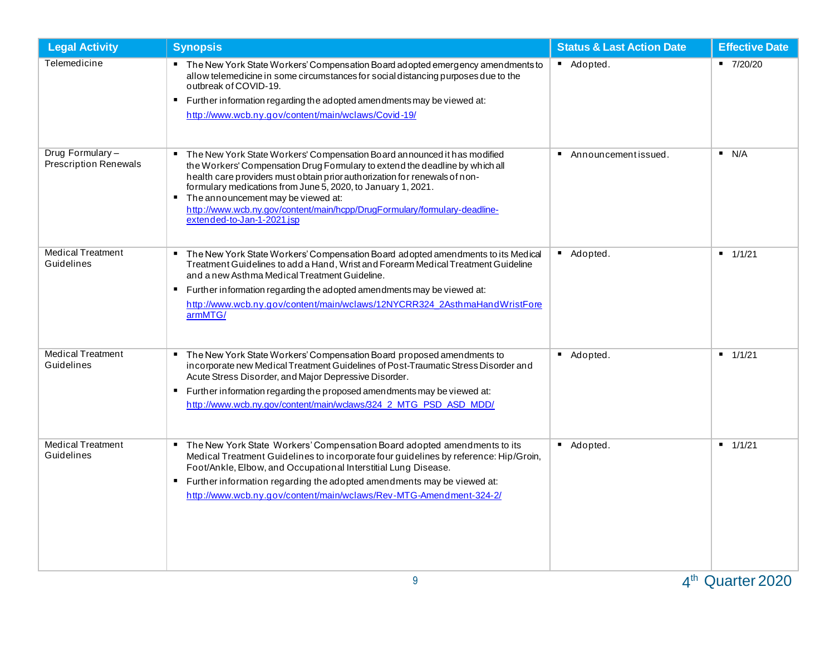| <b>Legal Activity</b>                           | <b>Synopsis</b>                                                                                                                                                                                                                                                                                                                                                                                                                                                                 | <b>Status &amp; Last Action Date</b>  | <b>Effective Date</b> |
|-------------------------------------------------|---------------------------------------------------------------------------------------------------------------------------------------------------------------------------------------------------------------------------------------------------------------------------------------------------------------------------------------------------------------------------------------------------------------------------------------------------------------------------------|---------------------------------------|-----------------------|
| Telemedicine                                    | The New York State Workers' Compensation Board adopted emergency amendments to<br>allow telemedicine in some circumstances for social distancing purposes due to the<br>outbreak of COVID-19.<br>Further information regarding the adopted amendments may be viewed at:<br>http://www.wcb.ny.gov/content/main/wclaws/Covid-19/                                                                                                                                                  | Adopted.                              | $-7/20/20$            |
| Drug Formulary-<br><b>Prescription Renewals</b> | The New York State Workers' Compensation Board announced it has modified<br>л.<br>the Workers' Compensation Drug Formulary to extend the deadline by which all<br>health care providers must obtain prior authorization for renewals of non-<br>formulary medications from June 5, 2020, to January 1, 2021.<br>The announcement may be viewed at:<br>$\blacksquare$<br>http://www.wcb.ny.gov/content/main/hcpp/DrugFormulary/formulary-deadline-<br>extended-to-Jan-1-2021.jsp | Announcementissued.<br>$\blacksquare$ | N/A                   |
| <b>Medical Treatment</b><br>Guidelines          | " The New York State Workers' Compensation Board adopted amendments to its Medical<br>Treatment Guidelines to add a Hand, Wrist and Forearm Medical Treatment Guideline<br>and a new Asthma Medical Treatment Guideline.<br>Further information regarding the adopted amendments may be viewed at:<br>$\blacksquare$<br>http://www.wcb.ny.gov/content/main/wclaws/12NYCRR324 2AsthmaHandWristFore<br>armMTG/                                                                    | Adopted.                              | 1/1/21                |
| <b>Medical Treatment</b><br>Guidelines          | The New York State Workers' Compensation Board proposed amendments to<br>$\blacksquare$<br>incorporate new Medical Treatment Guidelines of Post-Traumatic Stress Disorder and<br>Acute Stress Disorder, and Major Depressive Disorder.<br>Further information regarding the proposed amendments may be viewed at:<br>п.<br>http://www.wcb.ny.gov/content/main/wclaws/324 2 MTG PSD ASD MDD/                                                                                     | Adopted.<br>$\blacksquare$            | 1/1/21                |
| <b>Medical Treatment</b><br>Guidelines          | The New York State Workers' Compensation Board adopted amendments to its<br>Medical Treatment Guidelines to incorporate four guidelines by reference: Hip/Groin,<br>Foot/Ankle, Elbow, and Occupational Interstitial Lung Disease.<br>" Further information regarding the adopted amendments may be viewed at:<br>http://www.wcb.ny.gov/content/main/wclaws/Rev-MTG-Amendment-324-2/                                                                                            | Adopted.                              | 1/1/21                |

 $4^{\text{th}}$  Quarter 2020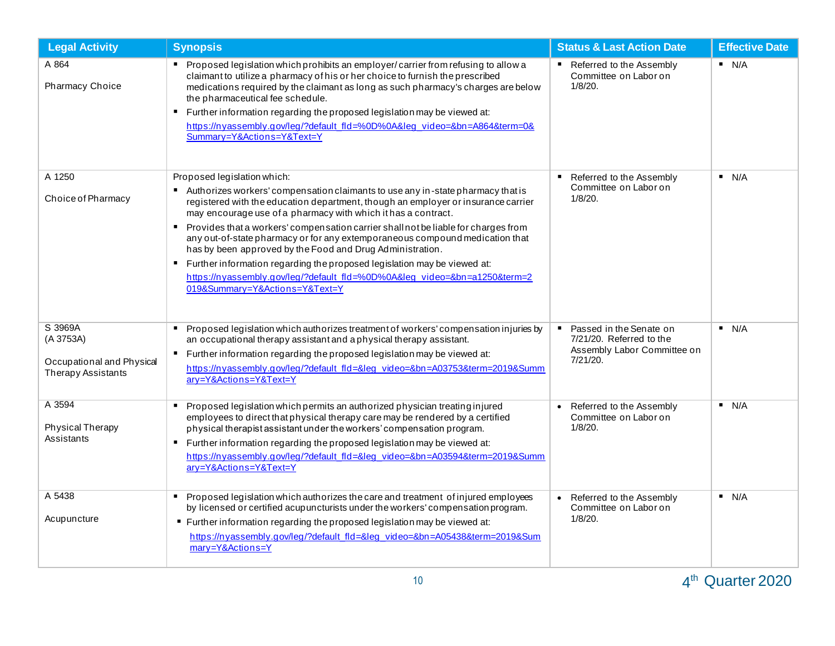| <b>Legal Activity</b>                                                   | <b>Synopsis</b>                                                                                                                                                                                                                                                                                                                                                                                                                                                                                                                                                                                                                                                                                         | <b>Status &amp; Last Action Date</b>                                                           | <b>Effective Date</b> |
|-------------------------------------------------------------------------|---------------------------------------------------------------------------------------------------------------------------------------------------------------------------------------------------------------------------------------------------------------------------------------------------------------------------------------------------------------------------------------------------------------------------------------------------------------------------------------------------------------------------------------------------------------------------------------------------------------------------------------------------------------------------------------------------------|------------------------------------------------------------------------------------------------|-----------------------|
| A 864<br>Pharmacy Choice                                                | " Proposed legislation which prohibits an employer/carrier from refusing to allow a<br>claimant to utilize a pharmacy of his or her choice to furnish the prescribed<br>medications required by the claimant as long as such pharmacy's charges are below<br>the pharmaceutical fee schedule.<br>Further information regarding the proposed legislation may be viewed at:<br>https://nyassembly.gov/leg/?default_fld=%0D%0A⋚_video=&bn=A864&term=0&<br>Summary=Y&Actions=Y&Text=Y                                                                                                                                                                                                                       | ■ Referred to the Assembly<br>Committee on Labor on<br>1/8/20.                                 | N/A                   |
| A 1250<br>Choice of Pharmacy                                            | Proposed legislation which:<br>Authorizes workers' compensation claimants to use any in-state pharmacy that is<br>registered with the education department, though an employer or insurance carrier<br>may encourage use of a pharmacy with which it has a contract.<br>" Provides that a workers' compensation carrier shall not be liable for charges from<br>any out-of-state pharmacy or for any extemporaneous compound medication that<br>has by been approved by the Food and Drug Administration.<br>Further information regarding the proposed legislation may be viewed at:<br>п.<br>https://nyassembly.gov/leg/?default_fld=%0D%0A⋚_video=&bn=a1250&term=2<br>019&Summary=Y&Actions=Y&Text=Y | Referred to the Assembly<br>$\blacksquare$<br>Committee on Labor on<br>1/8/20.                 | N/A                   |
| S 3969A<br>(A 3753A)<br>Occupational and Physical<br>Therapy Assistants | Proposed legislation which authorizes treatment of workers' compensation injuries by<br>an occupational therapy assistant and a physical therapy assistant.<br>Further information regarding the proposed legislation may be viewed at:<br>https://nyassembly.gov/leg/?default_fld=⋚_video=&bn=A03753&term=2019&Summ<br>ary=Y&Actions=Y&Text=Y                                                                                                                                                                                                                                                                                                                                                          | Passed in the Senate on<br>7/21/20. Referred to the<br>Assembly Labor Committee on<br>7/21/20. | N/A                   |
| A 3594<br>Physical Therapy<br>Assistants                                | Proposed legislation which permits an authorized physician treating injured<br>employees to direct that physical therapy care may be rendered by a certified<br>physical therapist assistant under the workers' compensation program.<br>Further information regarding the proposed legislation may be viewed at:<br>$\blacksquare$<br>https://nyassembly.gov/leg/?default_fld=⋚_video=&bn=A03594&term=2019&Summ<br>ary=Y&Actions=Y&Text=Y                                                                                                                                                                                                                                                              | • Referred to the Assembly<br>Committee on Labor on<br>1/8/20.                                 | N/A                   |
| A 5438<br>Acupuncture                                                   | Proposed legislation which authorizes the care and treatment of injured employees<br>by licensed or certified acupuncturists under the workers' compensation program.<br>■ Further information regarding the proposed legislation may be viewed at:<br>https://nyassembly.gov/leg/?default_fld=⋚_video=&bn=A05438&term=2019∑<br>mary=Y&Actions=Y                                                                                                                                                                                                                                                                                                                                                        | Referred to the Assembly<br>Committee on Labor on<br>1/8/20.                                   | N/A                   |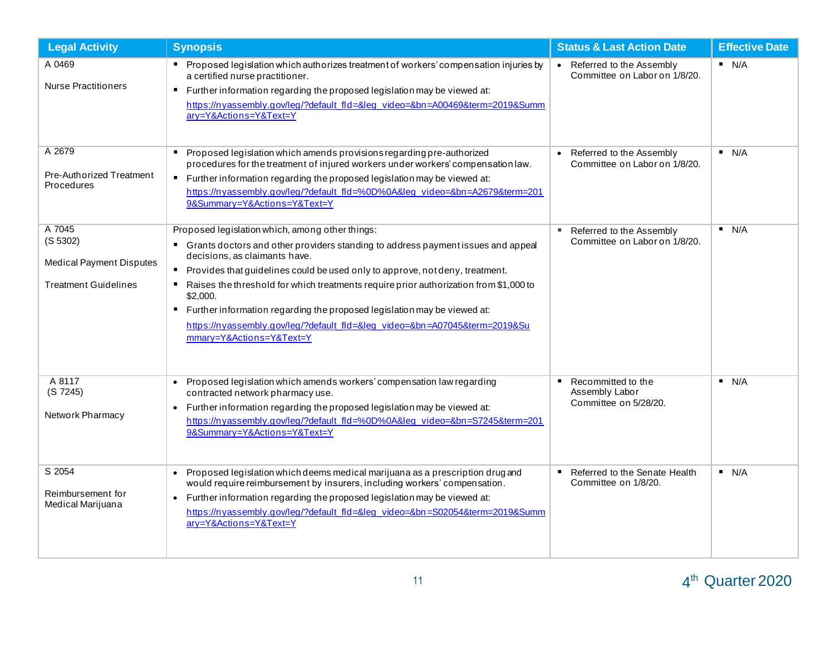| <b>Legal Activity</b>                                                                | <b>Synopsis</b>                                                                                                                                                                                                                                                                                                                                                                                                                                                                                                                                                  | <b>Status &amp; Last Action Date</b>                                   | <b>Effective Date</b> |
|--------------------------------------------------------------------------------------|------------------------------------------------------------------------------------------------------------------------------------------------------------------------------------------------------------------------------------------------------------------------------------------------------------------------------------------------------------------------------------------------------------------------------------------------------------------------------------------------------------------------------------------------------------------|------------------------------------------------------------------------|-----------------------|
| A 0469<br><b>Nurse Practitioners</b>                                                 | " Proposed legislation which authorizes treatment of workers' compensation injuries by<br>a certified nurse practitioner.<br>Further information regarding the proposed legislation may be viewed at:<br>п<br>https://nyassembly.gov/leg/?default_fld=⋚_video=&bn=A00469&term=2019&Summ<br>ary=Y&Actions=Y&Text=Y                                                                                                                                                                                                                                                | Referred to the Assembly<br>Committee on Labor on 1/8/20.              | N/A                   |
| A 2679<br>Pre-Authorized Treatment<br><b>Procedures</b>                              | Proposed legislation which amends provisions regarding pre-authorized<br>procedures for the treatment of injured workers under workers' compensation law.<br>" Further information regarding the proposed legislation may be viewed at:<br>https://nyassembly.gov/leg/?default_fld=%0D%0A⋚_video=&bn=A2679&term=201<br>9&Summary=Y&Actions=Y&Text=Y                                                                                                                                                                                                              | Referred to the Assembly<br>$\bullet$<br>Committee on Labor on 1/8/20. | N/A                   |
| A 7045<br>(S 5302)<br><b>Medical Payment Disputes</b><br><b>Treatment Guidelines</b> | Proposed legislation which, among other things:<br>Grants doctors and other providers standing to address payment issues and appeal<br>decisions, as claimants have.<br>Provides that guidelines could be used only to approve, not deny, treatment.<br>Raises the threshold for which treatments require prior authorization from \$1,000 to<br>$\blacksquare$<br>\$2,000.<br>" Further information regarding the proposed legislation may be viewed at:<br>https://nyassembly.gov/leg/?default_fld=⋚_video=&bn=A07045&term=2019&Su<br>mmary=Y&Actions=Y&Text=Y | Referred to the Assembly<br>л.<br>Committee on Labor on 1/8/20.        | N/A                   |
| A 8117<br>(S 7245)<br>Network Pharmacy                                               | Proposed legislation which amends workers' compensation law regarding<br>contracted network pharmacy use.<br>Further information regarding the proposed legislation may be viewed at:<br>https://nyassembly.gov/leg/?default_fld=%0D%0A⋚_video=&bn=S7245&term=201<br>9&Summary=Y&Actions=Y&Text=Y                                                                                                                                                                                                                                                                | Recommitted to the<br>п.<br>Assembly Labor<br>Committee on 5/28/20.    | N/A                   |
| S 2054<br>Reimbursement for<br>Medical Marijuana                                     | Proposed legislation which deems medical marijuana as a prescription drug and<br>would require reimbursement by insurers, including workers' compensation.<br>Further information regarding the proposed legislation may be viewed at:<br>$\bullet$<br>https://nyassembly.gov/leg/?default_fld=⋚_video=&bn=S02054&term=2019&Summ<br>ary=Y&Actions=Y&Text=Y                                                                                                                                                                                                       | Referred to the Senate Health<br>Committee on 1/8/20.                  | N/A                   |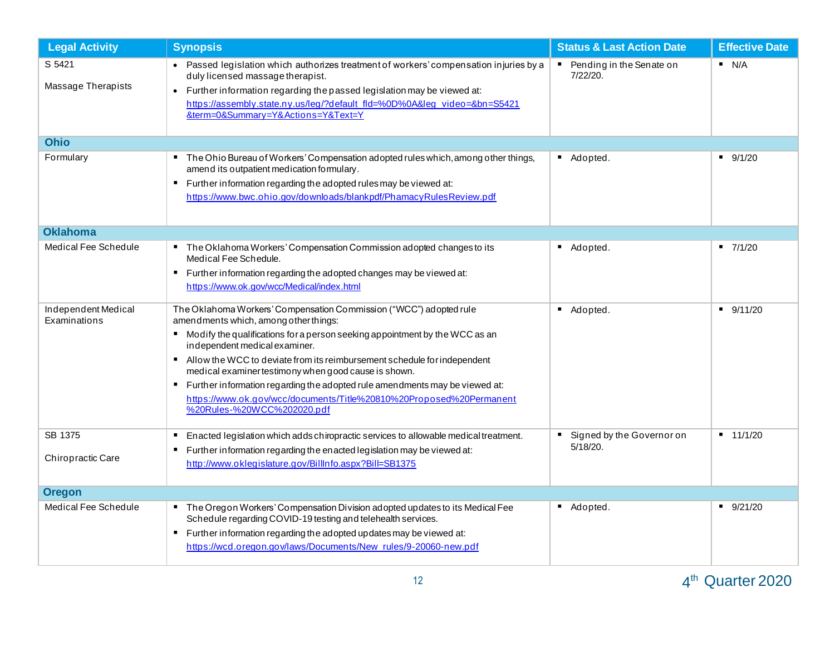| <b>Legal Activity</b>                          | <b>Synopsis</b>                                                                                                                                                                                                                                                                                                                                                                                                                                                                                                                                                                                                                                      | <b>Status &amp; Last Action Date</b>                    | <b>Effective Date</b> |
|------------------------------------------------|------------------------------------------------------------------------------------------------------------------------------------------------------------------------------------------------------------------------------------------------------------------------------------------------------------------------------------------------------------------------------------------------------------------------------------------------------------------------------------------------------------------------------------------------------------------------------------------------------------------------------------------------------|---------------------------------------------------------|-----------------------|
| S 5421<br>Massage Therapists                   | • Passed legislation which authorizes treatment of workers' compensation injuries by a<br>duly licensed massage therapist.<br>Further information regarding the passed legislation may be viewed at:<br>$\bullet$<br>https://assembly.state.ny.us/leg/?default_fld=%0D%0A⋚_video=&bn=S5421<br>&term=0&Summary=Y&Actions=Y&Text=Y                                                                                                                                                                                                                                                                                                                     | Pending in the Senate on<br>7/22/20.                    | N/A                   |
| <b>Ohio</b>                                    |                                                                                                                                                                                                                                                                                                                                                                                                                                                                                                                                                                                                                                                      |                                                         |                       |
| Formulary                                      | " The Ohio Bureau of Workers' Compensation adopted rules which, among other things,<br>amend its outpatient medication formulary.<br>" Further information regarding the adopted rules may be viewed at:<br>https://www.bwc.ohio.gov/downloads/blankpdf/PhamacyRulesReview.pdf                                                                                                                                                                                                                                                                                                                                                                       | Adopted.                                                | 9/1/20                |
| <b>Oklahoma</b>                                |                                                                                                                                                                                                                                                                                                                                                                                                                                                                                                                                                                                                                                                      |                                                         |                       |
| <b>Medical Fee Schedule</b>                    | The Oklahoma Workers' Compensation Commission adopted changes to its<br>$\blacksquare$<br>Medical Fee Schedule.<br>■ Further information regarding the adopted changes may be viewed at:<br>https://www.ok.gov/wcc/Medical/index.html                                                                                                                                                                                                                                                                                                                                                                                                                | ٠.<br>Adopted.                                          | $-7/1/20$             |
| Independent Medical<br>Examinations<br>SB 1375 | The Oklahoma Workers' Compensation Commission ("WCC") adopted rule<br>amendments which, among other things:<br>" Modify the qualifications for a person seeking appointment by the WCC as an<br>independent medical examiner.<br>Allow the WCC to deviate from its reimbursement schedule for independent<br>medical examiner testimony when good cause is shown.<br>■ Further information regarding the adopted rule amendments may be viewed at:<br>https://www.ok.gov/wcc/documents/Title%20810%20Proposed%20Permanent<br>%20Rules-%20WCC%202020.pdf<br>Enacted legislation which adds chiropractic services to allowable medical treatment.<br>٠ | $\blacksquare$<br>Adopted.<br>Signed by the Governor on | 9/11/20<br>$-11/1/20$ |
| Chiropractic Care                              | " Further information regarding the enacted legislation may be viewed at:<br>http://www.oklegislature.gov/BillInfo.aspx?Bill=SB1375                                                                                                                                                                                                                                                                                                                                                                                                                                                                                                                  | 5/18/20.                                                |                       |
| <b>Oregon</b>                                  |                                                                                                                                                                                                                                                                                                                                                                                                                                                                                                                                                                                                                                                      |                                                         |                       |
| Medical Fee Schedule                           | The Oregon Workers' Compensation Division adopted updates to its Medical Fee<br>Schedule regarding COVID-19 testing and telehealth services.<br>" Further information regarding the adopted updates may be viewed at:<br>https://wcd.oregon.gov/laws/Documents/New_rules/9-20060-new.pdf                                                                                                                                                                                                                                                                                                                                                             | Adopted.<br>٠                                           | 9/21/20               |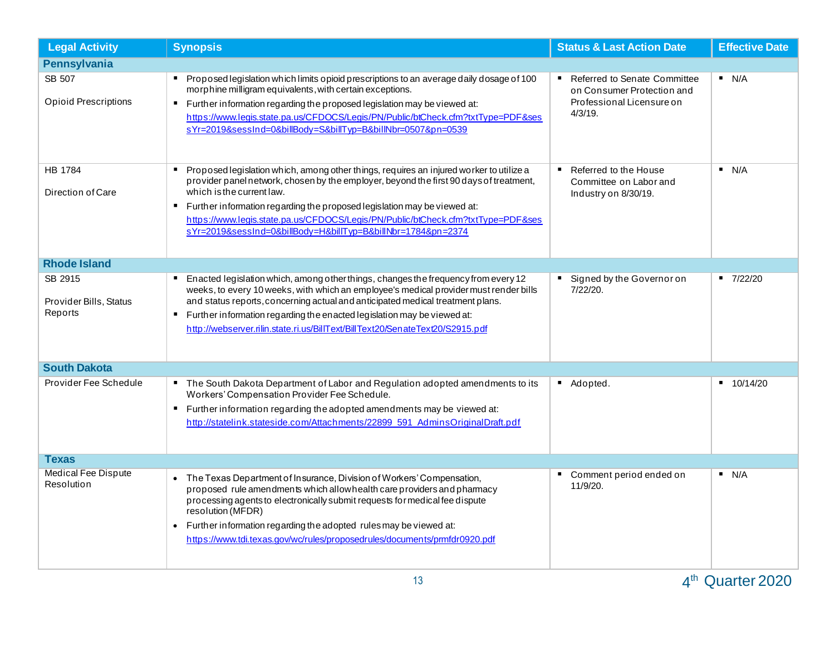| <b>Legal Activity</b>                        | <b>Synopsis</b>                                                                                                                                                                                                                                                                                                                                                                                                                                | <b>Status &amp; Last Action Date</b>                                                                                           | <b>Effective Date</b>      |  |  |
|----------------------------------------------|------------------------------------------------------------------------------------------------------------------------------------------------------------------------------------------------------------------------------------------------------------------------------------------------------------------------------------------------------------------------------------------------------------------------------------------------|--------------------------------------------------------------------------------------------------------------------------------|----------------------------|--|--|
| <b>Pennsylvania</b>                          |                                                                                                                                                                                                                                                                                                                                                                                                                                                |                                                                                                                                |                            |  |  |
| SB 507<br><b>Opioid Prescriptions</b>        | Proposed legislation which limits opioid prescriptions to an average daily dosage of 100<br>morphine milligram equivalents, with certain exceptions.<br>" Further information regarding the proposed legislation may be viewed at:<br>https://www.legis.state.pa.us/CFDOCS/Legis/PN/Public/btCheck.cfm?txtType=PDF&ses<br>sYr=2019&sessInd=0&billBody=S&billTyp=B&billNbr=0507&pn=0539                                                         | <b>Referred to Senate Committee</b><br>$\blacksquare$<br>on Consumer Protection and<br>Professional Licensure on<br>$4/3/19$ . | N/A                        |  |  |
| HB 1784<br>Direction of Care                 | Proposed legislation which, among other things, requires an injured worker to utilize a<br>provider panel network, chosen by the employer, beyond the first 90 days of treatment,<br>which is the current law.<br>Further information regarding the proposed legislation may be viewed at:<br>https://www.legis.state.pa.us/CFDOCS/Legis/PN/Public/btCheck.cfm?txtType=PDF&ses<br>sYr=2019&sessInd=0&billBody=H&billTyp=B&billNbr=1784&pn=2374 | Referred to the House<br>Committee on Labor and<br>Industry on 8/30/19.                                                        | N/A                        |  |  |
| <b>Rhode Island</b>                          |                                                                                                                                                                                                                                                                                                                                                                                                                                                |                                                                                                                                |                            |  |  |
| SB 2915<br>Provider Bills, Status<br>Reports | Enacted legislation which, among other things, changes the frequency from every 12<br>weeks, to every 10 weeks, with which an employee's medical provider must render bills<br>and status reports, concerning actual and anticipated medical treatment plans.<br>Further information regarding the enacted legislation may be viewed at:<br>п.<br>http://webserver.rilin.state.ri.us/BillText/BillText20/SenateText20/S2915.pdf                | Signed by the Governor on<br>7/22/20.                                                                                          | 7/22/20<br>$\blacksquare$  |  |  |
| <b>South Dakota</b>                          |                                                                                                                                                                                                                                                                                                                                                                                                                                                |                                                                                                                                |                            |  |  |
| Provider Fee Schedule                        | The South Dakota Department of Labor and Regulation adopted amendments to its<br>Workers' Compensation Provider Fee Schedule.<br>" Further information regarding the adopted amendments may be viewed at:<br>http://statelink.stateside.com/Attachments/22899_591_AdminsOriginalDraft.pdf                                                                                                                                                      | Adopted.<br>$\blacksquare$                                                                                                     | $\blacksquare$<br>10/14/20 |  |  |
| Texas                                        |                                                                                                                                                                                                                                                                                                                                                                                                                                                |                                                                                                                                |                            |  |  |
| <b>Medical Fee Dispute</b><br>Resolution     | The Texas Department of Insurance, Division of Workers' Compensation,<br>proposed rule amendments which allow health care providers and pharmacy<br>processing agents to electronically submit requests for medical fee dispute<br>resolution (MFDR)<br>Further information regarding the adopted rules may be viewed at:<br>$\bullet$<br>https://www.tdi.texas.gov/wc/rules/proposedrules/documents/pmfdr0920.pdf                             | Comment period ended on<br>٠<br>11/9/20.                                                                                       | N/A                        |  |  |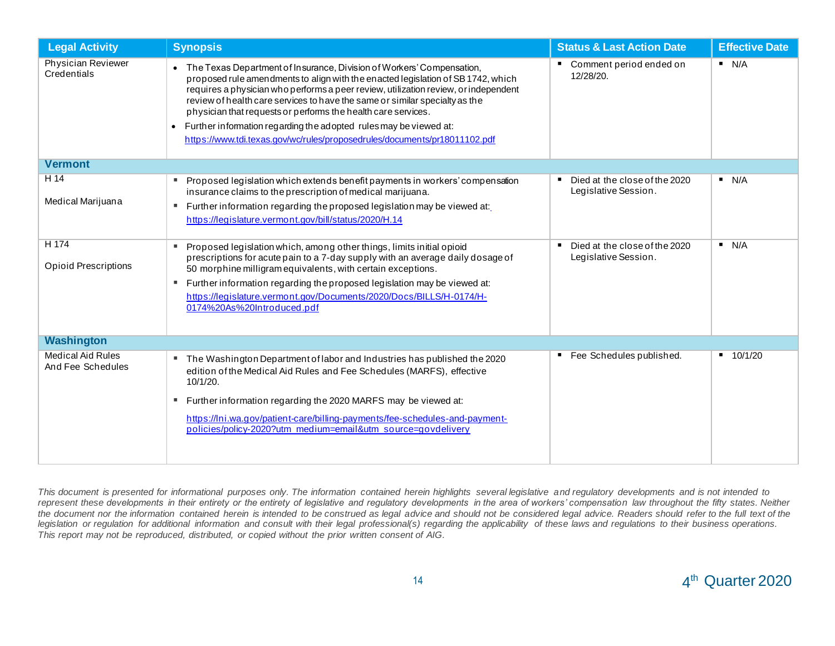| <b>Legal Activity</b>                                             | <b>Synopsis</b>                                                                                                                                                                                                                                                                                                                                                                                                                                                                                                                                                                                                                                                                  | <b>Status &amp; Last Action Date</b>                                                                                | <b>Effective Date</b> |  |  |
|-------------------------------------------------------------------|----------------------------------------------------------------------------------------------------------------------------------------------------------------------------------------------------------------------------------------------------------------------------------------------------------------------------------------------------------------------------------------------------------------------------------------------------------------------------------------------------------------------------------------------------------------------------------------------------------------------------------------------------------------------------------|---------------------------------------------------------------------------------------------------------------------|-----------------------|--|--|
| Physician Reviewer<br>Credentials                                 | • The Texas Department of Insurance, Division of Workers' Compensation,<br>proposed rule amendments to align with the enacted legislation of SB 1742, which<br>requires a physician who performs a peer review, utilization review, or independent<br>review of health care services to have the same or similar specialty as the<br>physician that requests or performs the health care services.<br>Further information regarding the adopted rules may be viewed at:<br>$\bullet$<br>https://www.tdi.texas.gov/wc/rules/proposedrules/documents/pr18011102.pdf                                                                                                                | Comment period ended on<br>12/28/20.                                                                                | N/A                   |  |  |
| <b>Vermont</b>                                                    |                                                                                                                                                                                                                                                                                                                                                                                                                                                                                                                                                                                                                                                                                  |                                                                                                                     |                       |  |  |
| H 14<br>Medical Marijuana<br>H 174<br><b>Opioid Prescriptions</b> | Proposed legislation which extends benefit payments in workers' compensation<br>٠<br>insurance claims to the prescription of medical marijuana.<br>Further information regarding the proposed legislation may be viewed at:<br>ш<br>https://legislature.vermont.gov/bill/status/2020/H.14<br>Proposed legislation which, among other things, limits initial opioid<br>ш<br>prescriptions for acute pain to a 7-day supply with an average daily dosage of<br>50 morphine milligram equivalents, with certain exceptions.<br>Further information regarding the proposed legislation may be viewed at:<br>ш<br>https://legislature.vermont.gov/Documents/2020/Docs/BILLS/H-0174/H- | Died at the close of the 2020<br>Legislative Session.<br>Died at the close of the 2020<br>٠<br>Legislative Session. | N/A<br>N/A            |  |  |
|                                                                   | 0174%20As%20Introduced.pdf                                                                                                                                                                                                                                                                                                                                                                                                                                                                                                                                                                                                                                                       |                                                                                                                     |                       |  |  |
| <b>Washington</b>                                                 |                                                                                                                                                                                                                                                                                                                                                                                                                                                                                                                                                                                                                                                                                  |                                                                                                                     |                       |  |  |
| <b>Medical Aid Rules</b><br>And Fee Schedules                     | The Washington Department of labor and Industries has published the 2020<br>٠<br>edition of the Medical Aid Rules and Fee Schedules (MARFS), effective<br>10/1/20.<br>Further information regarding the 2020 MARFS may be viewed at:<br>ш<br>https://lni.wa.gov/patient-care/billing-payments/fee-schedules-and-payment-<br>policies/policy-2020?utm_medium=email&utm_source=govdelivery                                                                                                                                                                                                                                                                                         | Fee Schedules published.<br>п                                                                                       | 10/1/20               |  |  |

*This document is presented for informational purposes only. The information contained herein highlights several legislative and regulatory developments and is not intended to*  represent these developments in their entirety or the entirety of legislative and regulatory developments in the area of workers' compensation law throughout the fifty states. Neither *the document nor the information contained herein is intended to be construed as legal advice and should not be considered legal advice. Readers should refer to the full text of the legislation or regulation for additional information and consult with their legal professional(s) regarding the applicability of these laws and regulations to their business operations. This report may not be reproduced, distributed, or copied without the prior written consent of AIG.*